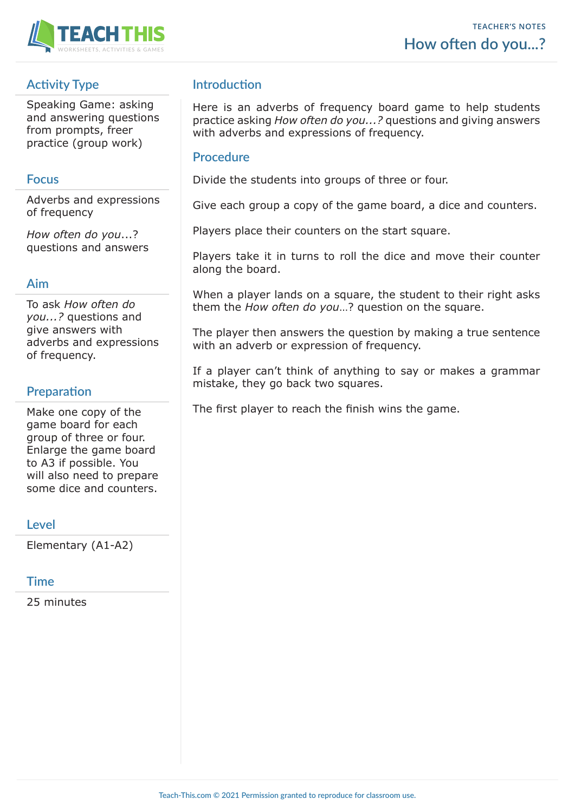

# **Activity Type**

Speaking Game: asking and answering questions from prompts, freer practice (group work)

#### **Focus**

Adverbs and expressions of frequency

*How often do you*...? questions and answers

### **Aim**

To ask *How often do you...?* questions and give answers with adverbs and expressions of frequency.

## **Preparation**

Make one copy of the game board for each group of three or four. Enlarge the game board to A3 if possible. You will also need to prepare some dice and counters.

#### **Level**

Elementary (A1-A2)

#### **Time**

25 minutes

## **Introduction**

Here is an adverbs of frequency board game to help students practice asking *How often do you...?* questions and giving answers with adverbs and expressions of frequency.

#### **Procedure**

Divide the students into groups of three or four.

Give each group a copy of the game board, a dice and counters.

Players place their counters on the start square.

Players take it in turns to roll the dice and move their counter along the board.

When a player lands on a square, the student to their right asks them the *How often do you*…? question on the square.

The player then answers the question by making a true sentence with an adverb or expression of frequency.

If a player can't think of anything to say or makes a grammar mistake, they go back two squares.

The first player to reach the finish wins the game.